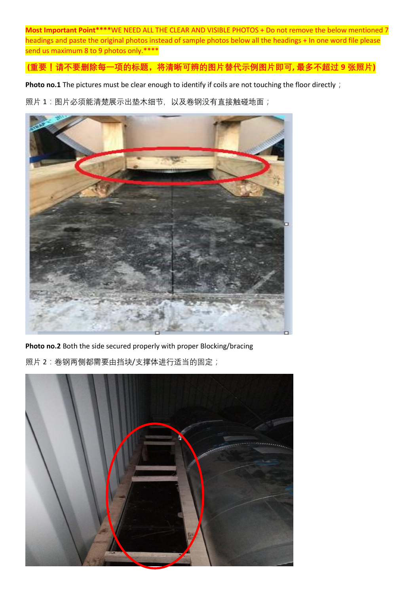**Most Important Point\*\*\*\***WE NEED ALL THE CLEAR AND VISIBLE PHOTOS + Do not remove the below mentioned 7 headings and paste the original photos instead of sample photos below all the headings + In one word file please send us maximum 8 to 9 photos only.\*\*\*\*

**(重要!请不要删除每一项的标题,将清晰可辨的图片替代示例图片即可, 最多不超过 9 张照片)**

Photo no.1 The pictures must be clear enough to identify if coils are not touching the floor directly;

照片 1:图片必须能清楚展示出垫木细节, 以及卷钢没有直接触碰地面;



**Photo no.2** Both the side secured properly with proper Blocking/bracing 照片 2: 卷钢两侧都需要由挡块/支撑体进行适当的固定;

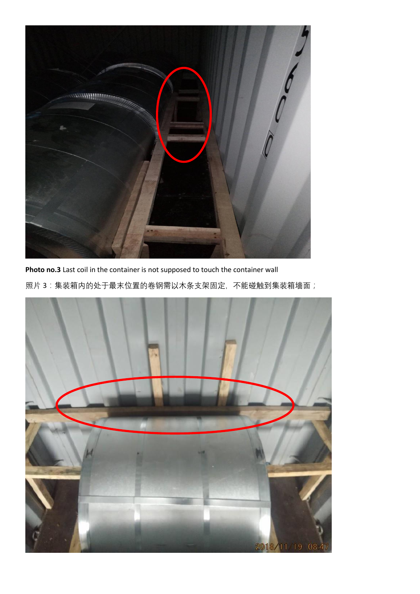

**Photo no.3** Last coil in the container is not supposed to touch the container wall 照片 3: 集装箱内的处于最末位置的卷钢需以木条支架固定, 不能碰触到集装箱墙面;

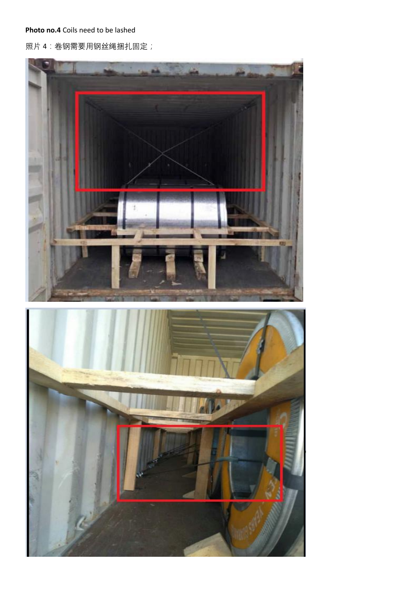**Photo no.4** Coils need to be lashed

照片 4: 卷钢需要用钢丝绳捆扎固定;

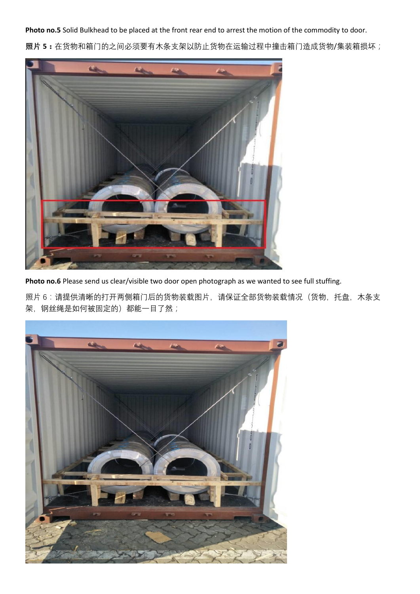**Photo no.5** Solid Bulkhead to be placed at the front rear end to arrest the motion of the commodity to door. **照片 5:**在货物和箱门的之间必须要有木条支架以防止货物在运输过程中撞击箱门造成货物/集装箱损坏;



Photo no.6 Please send us clear/visible two door open photograph as we wanted to see full stuffing.

照片 6: 请提供清晰的打开两侧箱门后的货物装载图片, 请保证全部货物装载情况(货物, 托盘, 木条支 架,钢丝绳是如何被固定的)都能一目了然;